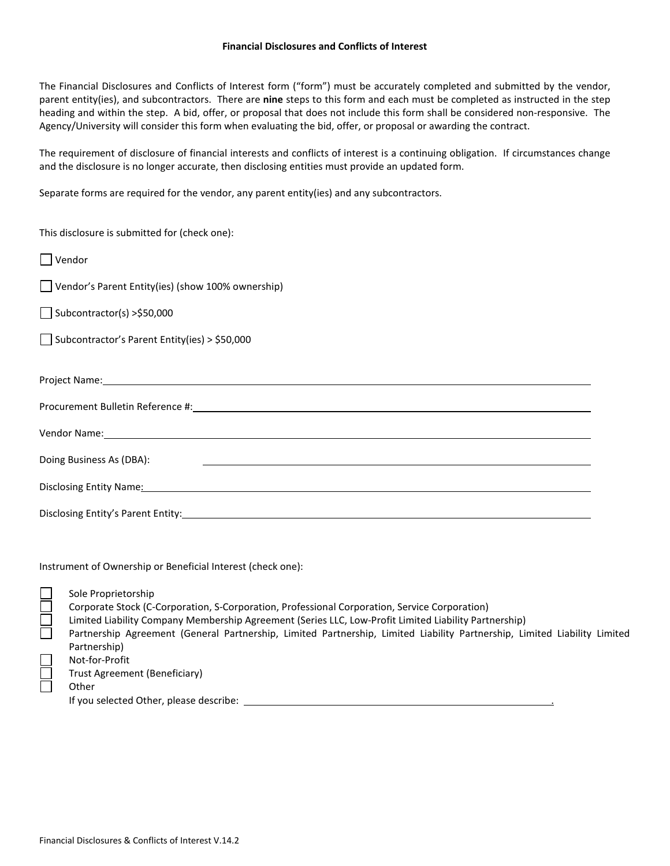The Financial Disclosures and Conflicts of Interest form ("form") must be accurately completed and submitted by the vendor, parent entity(ies), and subcontractors. There are **nine** steps to this form and each must be completed as instructed in the step heading and within the step. A bid, offer, or proposal that does not include this form shall be considered non-responsive. The Agency/University will consider this form when evaluating the bid, offer, or proposal or awarding the contract.

The requirement of disclosure of financial interests and conflicts of interest is a continuing obligation. If circumstances change and the disclosure is no longer accurate, then disclosing entities must provide an updated form.

Separate forms are required for the vendor, any parent entity(ies) and any subcontractors.

This disclosure is submitted for (check one):

| $\Box$ Vendor                                                                                                                                                                                                                  |
|--------------------------------------------------------------------------------------------------------------------------------------------------------------------------------------------------------------------------------|
| $\Box$ Vendor's Parent Entity(ies) (show 100% ownership)                                                                                                                                                                       |
| Subcontractor(s) > \$50,000                                                                                                                                                                                                    |
| $\Box$ Subcontractor's Parent Entity(ies) > \$50,000                                                                                                                                                                           |
|                                                                                                                                                                                                                                |
| Project Name: Name and Secretary Contract of the Contract of the Contract of the Contract of the Contract of the Contract of the Contract of the Contract of the Contract of the Contract of the Contract of the Contract of t |
|                                                                                                                                                                                                                                |
| Vendor Name: Name and Service Contract and Service Contract of the Contract of the Contract of the Contract of the Contract of the Contract of the Contract of the Contract of the Contract of the Contract of the Contract of |
| Doing Business As (DBA):                                                                                                                                                                                                       |
| Disclosing Entity Name: Name and Second Contract of the Contract of the Contract of the Contract of the Contract of the Contract of the Contract of the Contract of the Contract of the Contract of the Contract of the Contra |
|                                                                                                                                                                                                                                |

Instrument of Ownership or Beneficial Interest (check one):

| $\overline{\Box}$ | Sole Proprietorship<br>Corporate Stock (C-Corporation, S-Corporation, Professional Corporation, Service Corporation)      |
|-------------------|---------------------------------------------------------------------------------------------------------------------------|
|                   | Limited Liability Company Membership Agreement (Series LLC, Low-Profit Limited Liability Partnership)                     |
|                   |                                                                                                                           |
|                   | Partnership Agreement (General Partnership, Limited Partnership, Limited Liability Partnership, Limited Liability Limited |
|                   | Partnership)                                                                                                              |
|                   | Not-for-Profit                                                                                                            |
|                   | Trust Agreement (Beneficiary)                                                                                             |
|                   | Other                                                                                                                     |
|                   | If you selected Other, please describe:                                                                                   |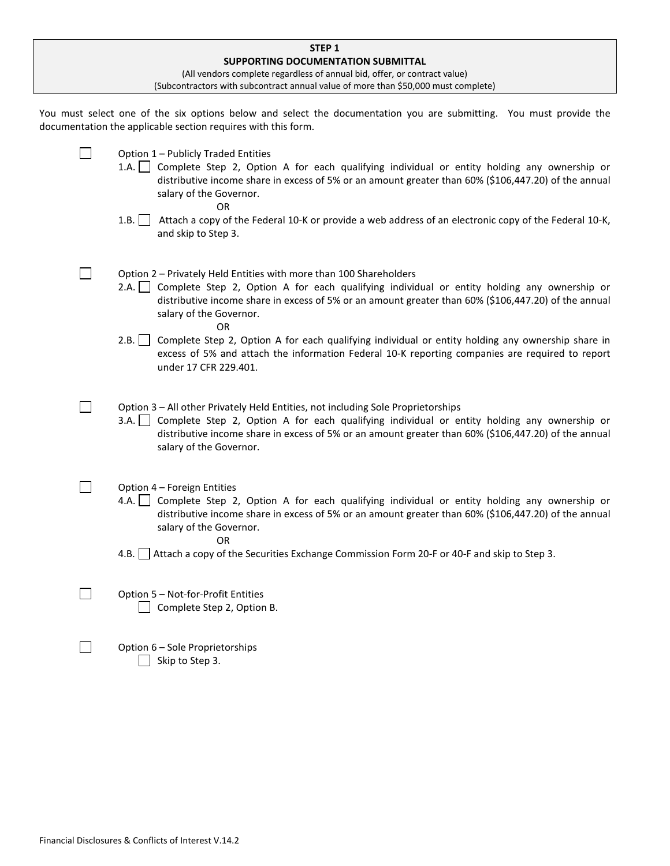| STEP <sub>1</sub>                  |                                                                                                                                                                                                                                                                                                                           |  |  |  |
|------------------------------------|---------------------------------------------------------------------------------------------------------------------------------------------------------------------------------------------------------------------------------------------------------------------------------------------------------------------------|--|--|--|
| SUPPORTING DOCUMENTATION SUBMITTAL |                                                                                                                                                                                                                                                                                                                           |  |  |  |
|                                    | (All vendors complete regardless of annual bid, offer, or contract value)                                                                                                                                                                                                                                                 |  |  |  |
|                                    | (Subcontractors with subcontract annual value of more than \$50,000 must complete)                                                                                                                                                                                                                                        |  |  |  |
|                                    | You must select one of the six options below and select the documentation you are submitting. You must provide the<br>documentation the applicable section requires with this form.                                                                                                                                       |  |  |  |
|                                    | Option 1 - Publicly Traded Entities<br>1.A. Complete Step 2, Option A for each qualifying individual or entity holding any ownership or<br>distributive income share in excess of 5% or an amount greater than 60% (\$106,447.20) of the annual<br>salary of the Governor.<br>OR                                          |  |  |  |
|                                    | 1.B.<br>Attach a copy of the Federal 10-K or provide a web address of an electronic copy of the Federal 10-K,<br>and skip to Step 3.                                                                                                                                                                                      |  |  |  |
|                                    | Option 2 - Privately Held Entities with more than 100 Shareholders<br>Complete Step 2, Option A for each qualifying individual or entity holding any ownership or<br>2.A.<br>distributive income share in excess of 5% or an amount greater than 60% (\$106,447.20) of the annual<br>salary of the Governor.<br><b>OR</b> |  |  |  |
|                                    | 2.B.<br>Complete Step 2, Option A for each qualifying individual or entity holding any ownership share in<br>excess of 5% and attach the information Federal 10-K reporting companies are required to report<br>under 17 CFR 229.401.                                                                                     |  |  |  |
|                                    | Option 3 - All other Privately Held Entities, not including Sole Proprietorships<br>3.A. Complete Step 2, Option A for each qualifying individual or entity holding any ownership or<br>distributive income share in excess of 5% or an amount greater than 60% (\$106,447.20) of the annual<br>salary of the Governor.   |  |  |  |
|                                    | Option 4 - Foreign Entities<br>Complete Step 2, Option A for each qualifying individual or entity holding any ownership or<br>4.A.<br>distributive income share in excess of 5% or an amount greater than 60% (\$106,447.20) of the annual<br>salary of the Governor.<br>OR.                                              |  |  |  |
|                                    | 4.B.<br>Attach a copy of the Securities Exchange Commission Form 20-F or 40-F and skip to Step 3.                                                                                                                                                                                                                         |  |  |  |
|                                    | Option 5 - Not-for-Profit Entities<br>Complete Step 2, Option B.                                                                                                                                                                                                                                                          |  |  |  |
|                                    | Option 6 - Sole Proprietorships<br>Skip to Step 3.                                                                                                                                                                                                                                                                        |  |  |  |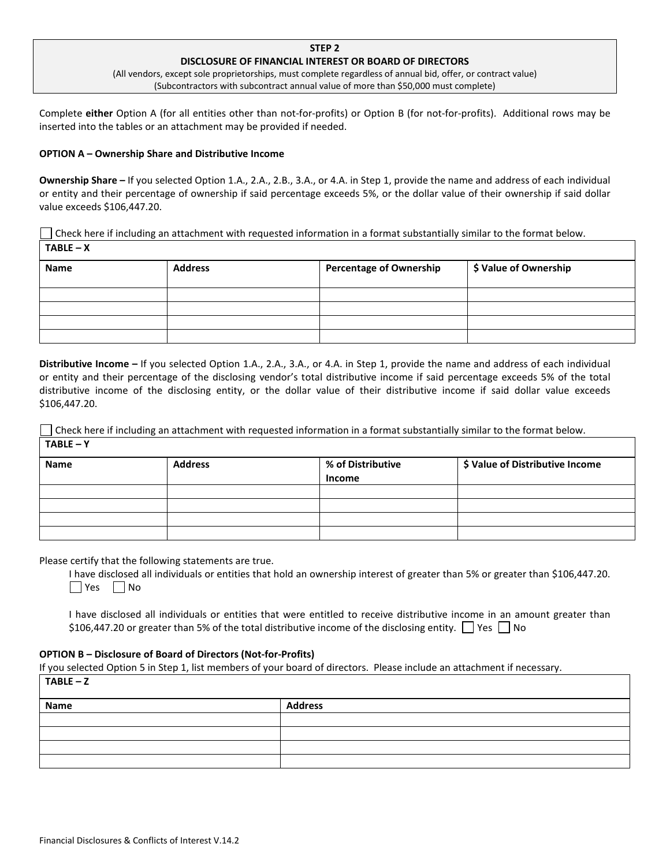## **STEP 2 DISCLOSURE OF FINANCIAL INTEREST OR BOARD OF DIRECTORS**

(All vendors, except sole proprietorships, must complete regardless of annual bid, offer, or contract value) (Subcontractors with subcontract annual value of more than \$50,000 must complete)

Complete **either** Option A (for all entities other than not-for-profits) or Option B (for not-for-profits). Additional rows may be inserted into the tables or an attachment may be provided if needed.

### **OPTION A – Ownership Share and Distributive Income**

**Ownership Share –** If you selected Option 1.A., 2.A., 2.B., 3.A., or 4.A. in Step 1, provide the name and address of each individual or entity and their percentage of ownership if said percentage exceeds 5%, or the dollar value of their ownership if said dollar value exceeds \$106,447.20.

Check here if including an attachment with requested information in a format substantially similar to the format below. **TABLE – X**

| Name | <b>Address</b> | <b>Percentage of Ownership</b> | \$ Value of Ownership |
|------|----------------|--------------------------------|-----------------------|
|      |                |                                |                       |
|      |                |                                |                       |
|      |                |                                |                       |
|      |                |                                |                       |

**Distributive Income –** If you selected Option 1.A., 2.A., 3.A., or 4.A. in Step 1, provide the name and address of each individual or entity and their percentage of the disclosing vendor's total distributive income if said percentage exceeds 5% of the total distributive income of the disclosing entity, or the dollar value of their distributive income if said dollar value exceeds \$106,447.20.

Check here if including an attachment with requested information in a format substantially similar to the format below. **TABLE – Y** 

| Name | <b>Address</b> | % of Distributive<br><b>Income</b> | \$ Value of Distributive Income |
|------|----------------|------------------------------------|---------------------------------|
|      |                |                                    |                                 |
|      |                |                                    |                                 |
|      |                |                                    |                                 |
|      |                |                                    |                                 |

Please certify that the following statements are true.

I have disclosed all individuals or entities that hold an ownership interest of greater than 5% or greater than \$106,447.20.  $\Box$  Yes  $\Box$  No

I have disclosed all individuals or entities that were entitled to receive distributive income in an amount greater than \$106,447.20 or greater than 5% of the total distributive income of the disclosing entity.  $\Box$  Yes  $\Box$  No

#### **OPTION B – Disclosure of Board of Directors (Not-for-Profits)**

If you selected Option 5 in Step 1, list members of your board of directors. Please include an attachment if necessary.

| $TABLE - Z$ |                |  |  |
|-------------|----------------|--|--|
| Name        | <b>Address</b> |  |  |
|             |                |  |  |
|             |                |  |  |
|             |                |  |  |
|             |                |  |  |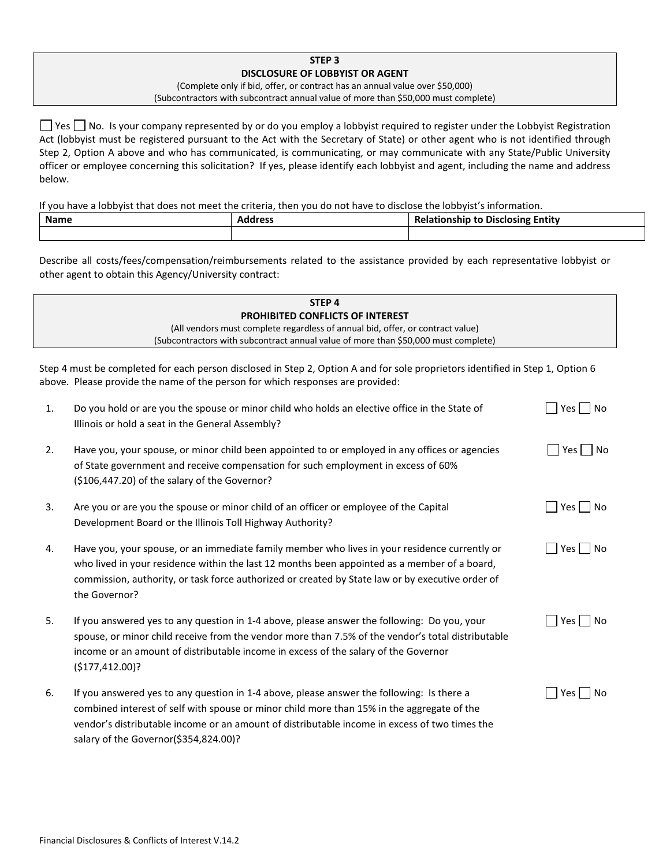# **STEP 3 DISCLOSURE OF LOBBYIST OR AGENT**

(Complete only if bid, offer, or contract has an annual value over \$50,000) (Subcontractors with subcontract annual value of more than \$50,000 must complete)

 $\Box$  Yes  $\Box$  No. Is your company represented by or do you employ a lobbyist required to register under the Lobbyist Registration Act (lobbyist must be registered pursuant to the Act with the Secretary of State) or other agent who is not identified through Step 2, Option A above and who has communicated, is communicating, or may communicate with any State/Public University officer or employee concerning this solicitation? If yes, please identify each lobbyist and agent, including the name and address below.

If you have a lobbyist that does not meet the criteria, then you do not have to disclose the lobbyist's information.

| <b>Name</b> | adrocc<br>Auul 699 | Entity<br>.<br>Disclosing<br>uonsnir |
|-------------|--------------------|--------------------------------------|
|             |                    |                                      |

Describe all costs/fees/compensation/reimbursements related to the assistance provided by each representative lobbyist or other agent to obtain this Agency/University contract:

|    | STEP <sub>4</sub>                                                                                                                                                                                                                                                                                                                 |                      |  |  |
|----|-----------------------------------------------------------------------------------------------------------------------------------------------------------------------------------------------------------------------------------------------------------------------------------------------------------------------------------|----------------------|--|--|
|    | <b>PROHIBITED CONFLICTS OF INTEREST</b>                                                                                                                                                                                                                                                                                           |                      |  |  |
|    | (All vendors must complete regardless of annual bid, offer, or contract value)                                                                                                                                                                                                                                                    |                      |  |  |
|    | (Subcontractors with subcontract annual value of more than \$50,000 must complete)                                                                                                                                                                                                                                                |                      |  |  |
|    | Step 4 must be completed for each person disclosed in Step 2, Option A and for sole proprietors identified in Step 1, Option 6<br>above. Please provide the name of the person for which responses are provided:                                                                                                                  |                      |  |  |
| 1. | Do you hold or are you the spouse or minor child who holds an elective office in the State of<br>Illinois or hold a seat in the General Assembly?                                                                                                                                                                                 | Yes     No           |  |  |
| 2. | Have you, your spouse, or minor child been appointed to or employed in any offices or agencies<br>of State government and receive compensation for such employment in excess of 60%<br>(\$106,447.20) of the salary of the Governor?                                                                                              | $Yes \mid No$        |  |  |
| 3. | Are you or are you the spouse or minor child of an officer or employee of the Capital<br>Development Board or the Illinois Toll Highway Authority?                                                                                                                                                                                | Yes    No            |  |  |
| 4. | Have you, your spouse, or an immediate family member who lives in your residence currently or<br>who lived in your residence within the last 12 months been appointed as a member of a board,<br>commission, authority, or task force authorized or created by State law or by executive order of<br>the Governor?                | $Yes \mid \text{No}$ |  |  |
| 5. | If you answered yes to any question in 1-4 above, please answer the following: Do you, your<br>spouse, or minor child receive from the vendor more than 7.5% of the vendor's total distributable<br>income or an amount of distributable income in excess of the salary of the Governor<br>(\$177,412.00)?                        | Yes  <br>No          |  |  |
| 6. | If you answered yes to any question in 1-4 above, please answer the following: Is there a<br>combined interest of self with spouse or minor child more than 15% in the aggregate of the<br>vendor's distributable income or an amount of distributable income in excess of two times the<br>salary of the Governor(\$354,824.00)? | Yes<br><b>No</b>     |  |  |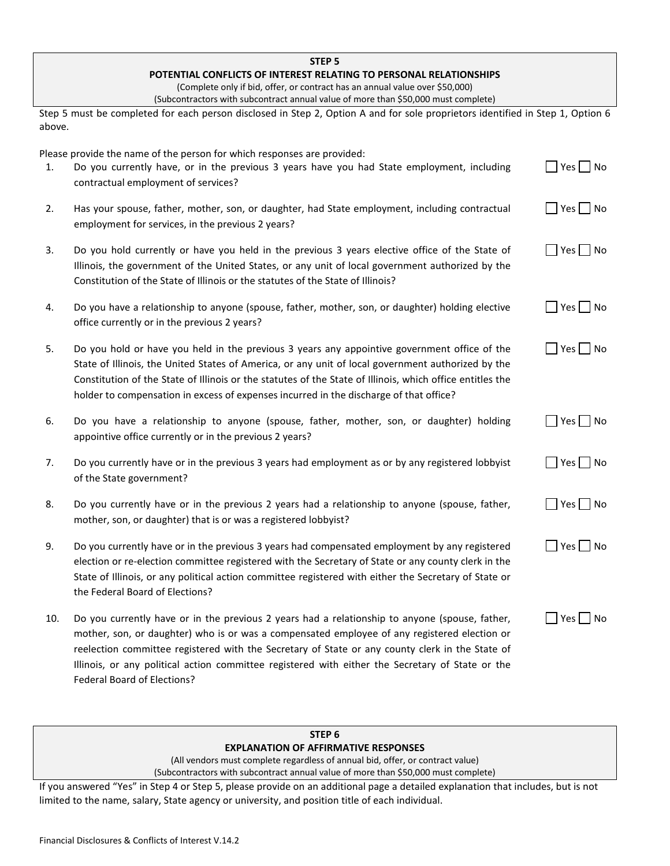|        | STEP <sub>5</sub>                                                                                                                                                                                                                                                                                                                                                                                                                    |                                           |
|--------|--------------------------------------------------------------------------------------------------------------------------------------------------------------------------------------------------------------------------------------------------------------------------------------------------------------------------------------------------------------------------------------------------------------------------------------|-------------------------------------------|
|        | POTENTIAL CONFLICTS OF INTEREST RELATING TO PERSONAL RELATIONSHIPS                                                                                                                                                                                                                                                                                                                                                                   |                                           |
|        | (Complete only if bid, offer, or contract has an annual value over \$50,000)                                                                                                                                                                                                                                                                                                                                                         |                                           |
|        | (Subcontractors with subcontract annual value of more than \$50,000 must complete)                                                                                                                                                                                                                                                                                                                                                   |                                           |
| above. | Step 5 must be completed for each person disclosed in Step 2, Option A and for sole proprietors identified in Step 1, Option 6                                                                                                                                                                                                                                                                                                       |                                           |
|        | Please provide the name of the person for which responses are provided:                                                                                                                                                                                                                                                                                                                                                              |                                           |
| 1.     | Do you currently have, or in the previous 3 years have you had State employment, including<br>contractual employment of services?                                                                                                                                                                                                                                                                                                    | $Yes \tN$                                 |
| 2.     | Has your spouse, father, mother, son, or daughter, had State employment, including contractual<br>employment for services, in the previous 2 years?                                                                                                                                                                                                                                                                                  | Yes   No                                  |
| 3.     | Do you hold currently or have you held in the previous 3 years elective office of the State of<br>Illinois, the government of the United States, or any unit of local government authorized by the<br>Constitution of the State of Illinois or the statutes of the State of Illinois?                                                                                                                                                | $\Box$ Yes $\Box$ No                      |
| 4.     | Do you have a relationship to anyone (spouse, father, mother, son, or daughter) holding elective<br>office currently or in the previous 2 years?                                                                                                                                                                                                                                                                                     | $Yes \bigsqcup No$                        |
| 5.     | Do you hold or have you held in the previous 3 years any appointive government office of the<br>State of Illinois, the United States of America, or any unit of local government authorized by the<br>Constitution of the State of Illinois or the statutes of the State of Illinois, which office entitles the<br>holder to compensation in excess of expenses incurred in the discharge of that office?                            | $\Box$ Yes $\Box$ No                      |
| 6.     | Do you have a relationship to anyone (spouse, father, mother, son, or daughter) holding<br>appointive office currently or in the previous 2 years?                                                                                                                                                                                                                                                                                   | $\Box$ Yes $\Box$ No                      |
| 7.     | Do you currently have or in the previous 3 years had employment as or by any registered lobbyist<br>of the State government?                                                                                                                                                                                                                                                                                                         | $Yes \mid No$<br>$\overline{\phantom{a}}$ |
| 8.     | Do you currently have or in the previous 2 years had a relationship to anyone (spouse, father,<br>mother, son, or daughter) that is or was a registered lobbyist?                                                                                                                                                                                                                                                                    | $\vert$ Yes $\vert$ No                    |
| 9.     | Do you currently have or in the previous 3 years had compensated employment by any registered<br>election or re-election committee registered with the Secretary of State or any county clerk in the<br>State of Illinois, or any political action committee registered with either the Secretary of State or<br>the Federal Board of Elections?                                                                                     | $\Box$ Yes $\Box$ No                      |
| 10.    | Do you currently have or in the previous 2 years had a relationship to anyone (spouse, father,<br>mother, son, or daughter) who is or was a compensated employee of any registered election or<br>reelection committee registered with the Secretary of State or any county clerk in the State of<br>Illinois, or any political action committee registered with either the Secretary of State or the<br>Federal Board of Elections? | $\Box$ Yes $\Box$ No                      |

# **STEP 6 EXPLANATION OF AFFIRMATIVE RESPONSES**

(All vendors must complete regardless of annual bid, offer, or contract value)

(Subcontractors with subcontract annual value of more than \$50,000 must complete)

If you answered "Yes" in Step 4 or Step 5, please provide on an additional page a detailed explanation that includes, but is not limited to the name, salary, State agency or university, and position title of each individual.